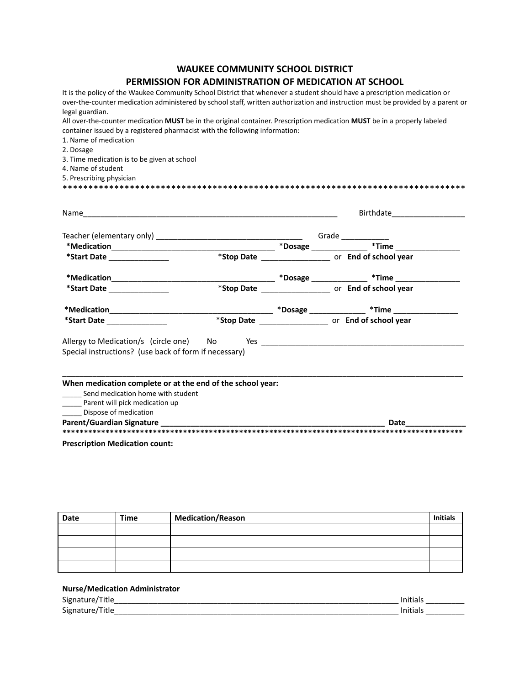## **WAUKEE COMMUNITY SCHOOL DISTRICT PERMISSION FOR ADMINISTRATION OF MEDICATION AT SCHOOL**

It is the policy of the Waukee Community School District that whenever a student should have a prescription medication or over-the-counter medication administered by school staff, written authorization and instruction must be provided by a parent or legal guardian.

\*\*\*\*\*\*\*\*\*\*\*\*\*\*\*\*\*\*\*\*\*\*\*\*\*\*\*\*\*\*\*\*\*\*\*\*\*\*\*\*\*\*\*\*\*\*\*\*\*\*\*\*\*\*\*\*\*\*\*\*\*\*\*\*\*\*\*\*\*\*\*\*\*\*\*\*\*\*

All over-the-counter medication **MUST** be in the original container. Prescription medication **MUST** be in a properly labeled container issued by a registered pharmacist with the following information:

1. Name of medication

2. Dosage

3. Time medication is to be given at school

- 4. Name of student
- 5. Prescribing physician

|                                                                                                                                                                                                                               | Birthdate ____________________ |                                                           |  |
|-------------------------------------------------------------------------------------------------------------------------------------------------------------------------------------------------------------------------------|--------------------------------|-----------------------------------------------------------|--|
|                                                                                                                                                                                                                               |                                |                                                           |  |
|                                                                                                                                                                                                                               |                                |                                                           |  |
| *Start Date _______________                                                                                                                                                                                                   |                                | *Stop Date ________________________ or End of school year |  |
|                                                                                                                                                                                                                               |                                |                                                           |  |
| *Start Date ________________                                                                                                                                                                                                  |                                | *Stop Date ________________________ or End of school year |  |
|                                                                                                                                                                                                                               |                                |                                                           |  |
| *Start Date _______________                                                                                                                                                                                                   |                                | *Stop Date ________________________ or End of school year |  |
|                                                                                                                                                                                                                               |                                |                                                           |  |
| Special instructions? (use back of form if necessary)                                                                                                                                                                         |                                |                                                           |  |
|                                                                                                                                                                                                                               |                                |                                                           |  |
| When medication complete or at the end of the school year:<br>_____ Send medication home with student                                                                                                                         |                                |                                                           |  |
| Parent will pick medication up                                                                                                                                                                                                |                                |                                                           |  |
| Dispose of medication                                                                                                                                                                                                         |                                |                                                           |  |
| Parent/Guardian Signature and the contract of the contract of the contract of the contract of the contract of the contract of the contract of the contract of the contract of the contract of the contract of the contract of |                                | Date                                                      |  |
|                                                                                                                                                                                                                               |                                |                                                           |  |

**Prescription Medication count:**

| Date | Time | <b>Medication/Reason</b> | <b>Initials</b> |
|------|------|--------------------------|-----------------|
|      |      |                          |                 |
|      |      |                          |                 |
|      |      |                          |                 |
|      |      |                          |                 |

## **Nurse/Medication Administrator**

| $\overline{\phantom{0}}$<br>טר<br> |  |
|------------------------------------|--|
| $\sim$<br>אור<br>- - - -<br>. .    |  |